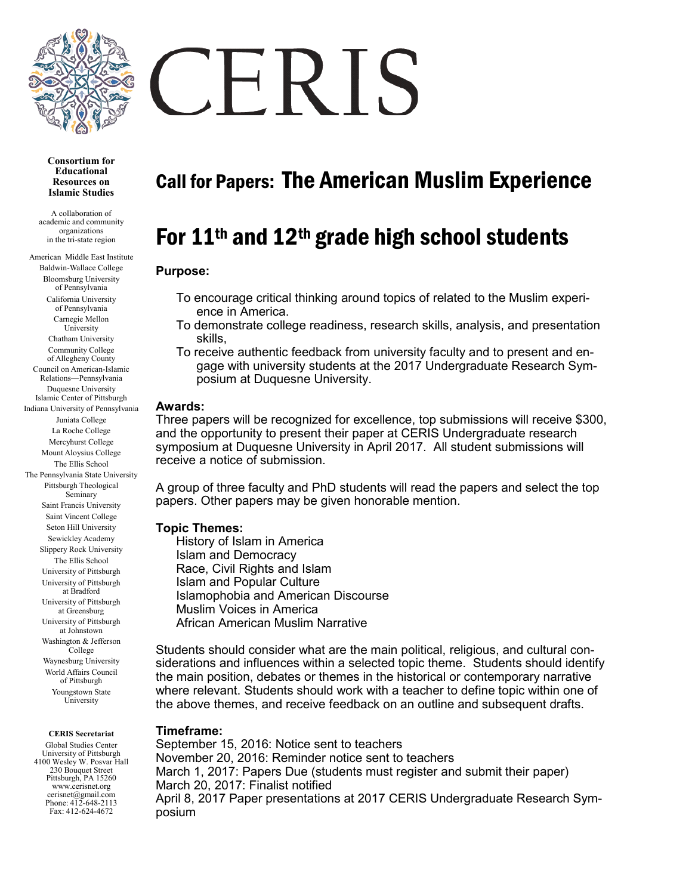

**Consortium for Educational Resources on Islamic Studies**

A collaboration of academic and community organizations in the tri-state region

American Middle East Institute Baldwin-Wallace College Bloomsburg University of Pennsylvania California University of Pennsylvania Carnegie Mellon University Chatham University Community College of Allegheny County Council on American-Islamic Relations—Pennsylvania Duquesne University Islamic Center of Pittsburgh Indiana University of Pennsylvania Juniata College La Roche College Mercyhurst College Mount Aloysius College The Ellis School The Pennsylvania State University Pittsburgh Theological Seminary Saint Francis University Saint Vincent College Seton Hill University Sewickley Academy Slippery Rock University The Ellis School University of Pittsburgh University of Pittsburgh at Bradford University of Pittsburgh at Greensburg University of Pittsburgh at Johnstown Washington & Jefferson **College** Waynesburg University World Affairs Council of Pittsburgh Youngstown State University

**CERIS Secretariat**

Global Studies Center University of Pittsburgh 4100 Wesley W. Posvar Hall 230 Bouquet Street Pittsburgh, PA 15260 www.cerisnet.org cerisnet@gmail.com Phone: 412-648-2113 Fax: 412-624-4672

# ERIS

# Call for Papers: The American Muslim Experience

# For 11th and 12th grade high school students

# **Purpose:**

- To encourage critical thinking around topics of related to the Muslim experience in America.
- To demonstrate college readiness, research skills, analysis, and presentation skills,
- To receive authentic feedback from university faculty and to present and engage with university students at the 2017 Undergraduate Research Symposium at Duquesne University.

#### **Awards:**

Three papers will be recognized for excellence, top submissions will receive \$300, and the opportunity to present their paper at CERIS Undergraduate research symposium at Duquesne University in April 2017. All student submissions will receive a notice of submission.

A group of three faculty and PhD students will read the papers and select the top papers. Other papers may be given honorable mention.

# **Topic Themes:**

History of Islam in America Islam and Democracy Race, Civil Rights and Islam Islam and Popular Culture Islamophobia and American Discourse Muslim Voices in America African American Muslim Narrative

Students should consider what are the main political, religious, and cultural considerations and influences within a selected topic theme. Students should identify the main position, debates or themes in the historical or contemporary narrative where relevant. Students should work with a teacher to define topic within one of the above themes, and receive feedback on an outline and subsequent drafts.

# **Timeframe:**

September 15, 2016: Notice sent to teachers November 20, 2016: Reminder notice sent to teachers March 1, 2017: Papers Due (students must register and submit their paper) March 20, 2017: Finalist notified April 8, 2017 Paper presentations at 2017 CERIS Undergraduate Research Symposium